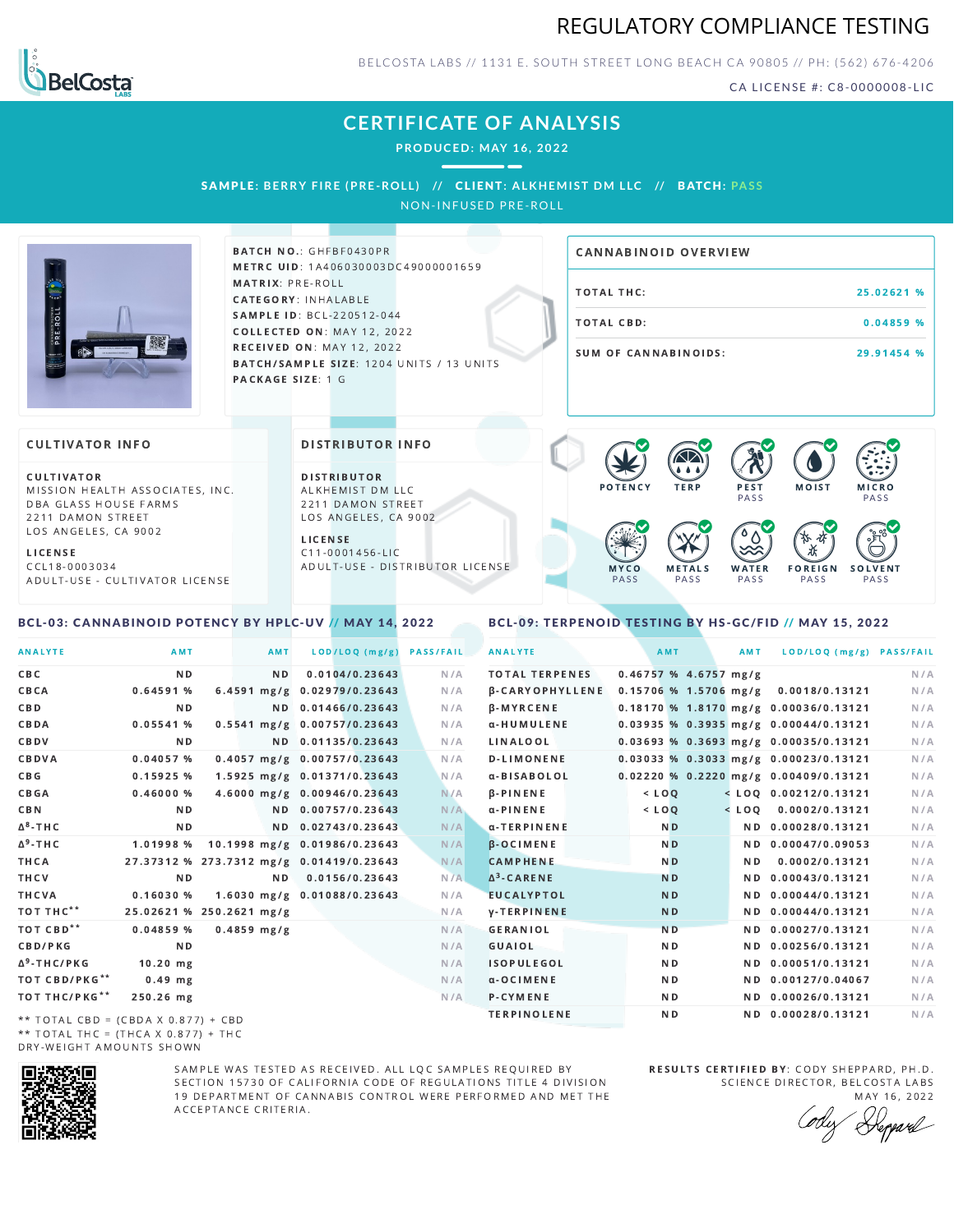



BELCOSTA LABS // 1131 E. SOUTH STREET LONG BEACH C A 90805 // PH: (562) 676-4206

CA LICENSE #: C8-0000008-LIC

## **CERTIFICATE OF ANALYSIS**

**PRODUCED: MAY 16, 2022**

SAMPLE: BERRY FIRE (PRE-ROLL) // CLIENT: ALKHEMIST DM LLC // BATCH: PASS

NON-INFUSED PRE-ROLL



BATCH NO.: GHFBF0430PR METRC UID: 1A406030003DC49000001659 MATRIX: PRE-ROLL CATEGORY: INHALABLE SAMPLE ID: BCL-220512-044 COLLECTED ON: MAY 12, 2022 **RECEIVED ON: MAY 12, 2022** BATCH/SAMPLE SIZE: 1204 UNITS / 13 UNITS PACKAGE SIZE: 1 G

# TOTAL THC: 25.02621 % TOTAL CBD: 0.04859 % SUM OF CANNABINOIDS: 29.91454 % CANNABINOID OVERVIEW

### **CULTIVATOR INFO**

CULTIVATOR MISSION HEALTH ASSOCIATES, INC. DBA GLASS HOUSE FARMS 2211 DAMON STREET LOS ANGELES, CA 9002

L I C E N S E C C L 1 8 - 0 0 0 3 0 3 4 A D U L T - U S E - C U L T I V A T O R L I CENSE

<span id="page-0-0"></span>BCL-03: CANNABINOID POTENCY BY HPLC-UV // MAY 14, 2022

DISTRIBUTOR INFO

D I STRIBUTOR ALKHEMIST DM LLC 2211 DAMON STREET LOS ANGELES, CA 9002 L I C E N S E

 $C$  11-0001456-LIC A D U L T - U S E - D I STRI B U T O R LICENSE



<span id="page-0-1"></span>BCL-09: TERPENOID TESTING BY HS-GC/FID // MAY 15, 2022

| <b>ANALYTE</b>                      | AMT                                      | AMT            | LOD/LOQ (mg/g)                         | <b>PASS/FAIL</b> | <b>ANALYTE</b>         | AMT       |                         | AMT | LOD/LOQ (mg/g) PASS/FAIL                |     |
|-------------------------------------|------------------------------------------|----------------|----------------------------------------|------------------|------------------------|-----------|-------------------------|-----|-----------------------------------------|-----|
| CBC                                 | N <sub>D</sub>                           | N <sub>D</sub> | 0.0104/0.23643                         | N/A              | <b>TOTAL TERPENES</b>  |           | $0.46757$ % 4.6757 mg/g |     |                                         | N/A |
| CBCA                                | 0.64591%                                 |                | 6.4591 mg/g 0.02979/0.23643            | N/A              | <b>B-CARYOPHYLLENE</b> |           |                         |     | 0.15706 % 1.5706 mg/g 0.0018/0.13121    | N/A |
| C B D                               | ND.                                      |                | ND 0.01466/0.23643                     | N/A              | <b>B-MYRCENE</b>       |           |                         |     | $0.18170$ % 1.8170 mg/g 0.00036/0.13121 | N/A |
| CBDA                                | 0.05541%                                 |                | $0.5541$ mg/g $0.00757/0.23643$        | N/A              | α-HUMULENE             |           |                         |     | $0.03935$ % 0.3935 mg/g 0.00044/0.13121 | N/A |
| CBDV                                | ND.                                      |                | ND 0.01135/0.23643                     | N/A              | LINALOOL               |           |                         |     | 0.03693 % 0.3693 mg/g 0.00035/0.13121   | N/A |
| CBDVA                               | 0.04057 %                                |                | 0.4057 mg/g 0.00757/0.23643            | N/A              | <b>D-LIMONENE</b>      |           |                         |     | 0.03033 % 0.3033 mg/g 0.00023/0.13121   | N/A |
| C B G                               | 0.15925%                                 |                | 1.5925 mg/g 0.01371/0.23643            | N/A              | α-BISABOLOL            |           |                         |     | 0.02220 % 0.2220 mg/g 0.00409/0.13121   | N/A |
| CBGA                                | 0.46000%                                 |                | 4.6000 mg/g 0.00946/0.23643            | N/A              | <b>B-PINENE</b>        | $<$ $LOO$ |                         |     | $<$ LOQ 0.00212/0.13121                 | N/A |
| C B N                               | ND.                                      |                | ND 0.00757/0.23643                     | N/A              | $\alpha$ -PINENE       | $<$ LOO   |                         |     | $<$ LOO 0.0002/0.13121                  | N/A |
| ∆ <sup>8</sup> -ТНС                 | N D                                      |                | ND 0.02743/0.23643                     | N/A              | α-TERPINENE            |           | N <sub>D</sub>          |     | ND 0.00028/0.13121                      | N/A |
| Δ <sup>9</sup> -ΤΗ C                |                                          |                | 1.01998 % 10.1998 mg/g 0.01986/0.23643 | N/A              | <b>B-OCIMENE</b>       |           | N <sub>D</sub>          |     | ND 0.00047/0.09053                      | N/A |
| THCA                                | 27.37312 % 273.7312 mg/g 0.01419/0.23643 |                |                                        | N/A              | <b>CAMPHENE</b>        |           | N <sub>D</sub>          | N D | 0.0002/0.13121                          | N/A |
| THCV                                | N <sub>D</sub>                           | N <sub>D</sub> | 0.0156/0.23643                         | N/A              | $\Delta^3$ -CARENE     |           | <b>ND</b>               |     | ND 0.00043/0.13121                      | N/A |
| THCVA                               | 0.16030%                                 |                | 1.6030 mg/g 0.01088/0.23643            | N/A              | <b>EUCALYPTOL</b>      |           | <b>ND</b>               |     | ND 0.00044/0.13121                      | N/A |
| тот тнс**                           | 25.02621 % 250.2621 mg/g                 |                |                                        | N/A              | <b>y-TERPINENE</b>     |           | N <sub>D</sub>          |     | ND 0.00044/0.13121                      | N/A |
| тот свр**                           | 0.04859%                                 | $0.4859$ mg/g  |                                        | N/A              | <b>GERANIOL</b>        |           | <b>ND</b>               |     | ND 0.00027/0.13121                      | N/A |
| <b>CBD/PKG</b>                      | N <sub>D</sub>                           |                |                                        | N/A              | GUAIOL                 |           | N <sub>D</sub>          |     | ND 0.00256/0.13121                      | N/A |
| Δ <sup>9</sup> -THC/PKG             | $10.20$ mg                               |                |                                        | N/A              | <b>ISOPULEGOL</b>      |           | N <sub>D</sub>          |     | ND 0.00051/0.13121                      | N/A |
| ТОТ СВD/РКG**                       | $0.49$ mg                                |                |                                        | N/A              | a-OCIMENE              |           | ND.                     |     | ND 0.00127/0.04067                      | N/A |
| ТОТ ТНС/РКG**                       | 250.26 mg                                |                |                                        | N/A              | P-CYMENE               |           | N D                     |     | ND 0.00026/0.13121                      | N/A |
| ** TOTAL CRD - (CRDA V A 977) + CRD |                                          |                |                                        |                  | <b>TERPINOLENE</b>     |           | N <sub>D</sub>          |     | ND 0.00028/0.13121                      | N/A |

\*\* TOTAL CBD = (CBDA X 0.877) + CBD \*\* TOTAL THC = (THCA X  $0.877$ ) + THC DRY-WEIGHT AMOUNTS SHOWN



SAMPLE WAS TESTED AS RECEIVED. ALL LOC SAMPLES REQUIRED BY SECTION 15730 OF CALIFORNIA CODE OF REGULATIONS TITLE 4 DIVISION 19 DEPARTMENT OF CANNABIS CONTROL WERE PERFORMED AND MET THE A C C E P T A N C E C R I T E R I A.

RESULTS CERTIFIED BY: CODY SHEPPARD, PH.D. SCIENCE DIRECTOR, BELCOSTA LABS

MAY 16, 2022 Keppard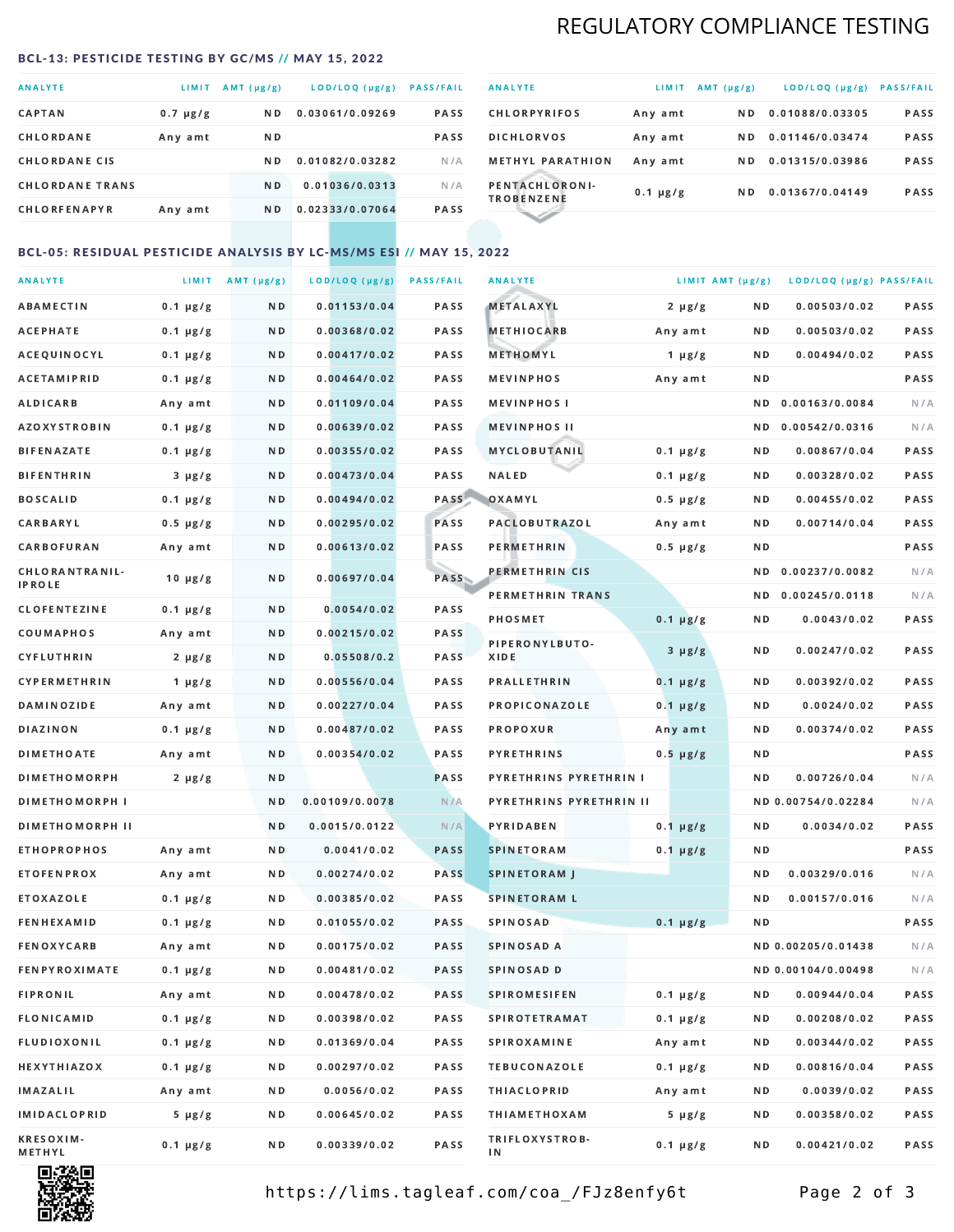## REGULATORY COMPLIANCE TESTING

#### <span id="page-1-0"></span>BCL-13: PESTICIDE TESTING BY GC/MS // MAY 15, 2022

| <b>ANALYTE</b>         | <b>LIMIT</b>  | $AMT(\mu g/g)$ | LOD/LOQ (µg/g)  | <b>PASS/FAIL</b> |
|------------------------|---------------|----------------|-----------------|------------------|
| <b>CAPTAN</b>          | $0.7 \mu g/g$ | N <sub>D</sub> | 0.03061/0.09269 | <b>PASS</b>      |
| CHLORDANE              | Any amt       | ND.            |                 | <b>PASS</b>      |
| <b>CHLORDANE CIS</b>   |               | ND.            | 0.01082/0.03282 | N/A              |
| <b>CHLORDANE TRANS</b> |               | N <sub>D</sub> | 0.01036/0.0313  | N/A              |
| <b>CHLORFENAPYR</b>    | Any amt       | N D            | 0.02333/0.07064 | <b>PASS</b>      |

| <b>ANALYTE</b>                      | LIMIT         | $AMT(\mu g/g)$ | LOD/LOQ (µg/g)  | <b>PASS/FAIL</b> |
|-------------------------------------|---------------|----------------|-----------------|------------------|
| <b>CHLORPYRIFOS</b>                 | Any amt       | N D            | 0.01088/0.03305 | <b>PASS</b>      |
| <b>DICHLORVOS</b>                   | Any amt       | N D.           | 0.01146/0.03474 | PASS             |
| <b>METHYL PARATHION</b>             | Any amt       | ND.            | 0.01315/0.03986 | <b>PASS</b>      |
| PENTACHLORONI-<br><b>TROBENZENE</b> | $0.1 \mu g/g$ | ND.            | 0.01367/0.04149 | <b>PASS</b>      |
|                                     |               |                |                 |                  |

## BCL-05: RESIDUAL PESTICIDE ANALYSIS BY LC-MS/MS ESI // MAY 15, 2022

| <b>ANALYTE</b>             |               | LIMIT AMT $(\mu g/g)$ | LOD/LOQ (µg/g) | <b>PASS/FAIL</b> | <b>ANALYTE</b>          |               | LIMIT AMT (µg/g) | LOD/LOQ (µg/g) PASS/FAIL |      |
|----------------------------|---------------|-----------------------|----------------|------------------|-------------------------|---------------|------------------|--------------------------|------|
| ABAMECTIN                  | $0.1 \mu g/g$ | N D                   | 0.01153/0.04   | PASS             | <b>METALAXYL</b>        | $2 \mu g/g$   | N D              | 0.00503/0.02             | PASS |
| <b>ACEPHATE</b>            | $0.1 \mu g/g$ | N D                   | 0.00368/0.02   | PASS             | <b>METHIOCARB</b>       | Any amt       | N D              | 0.00503/0.02             | PASS |
| ACEQUINOCYL                | $0.1 \mu g/g$ | N D                   | 0.00417/0.02   | PASS             | METHOMYL                | 1 $\mu$ g/g   | N D              | 0.00494/0.02             | PASS |
| ACETAMIPRID                | $0.1 \mu g/g$ | N D                   | 0.00464/0.02   | PASS             | <b>MEVINPHOS</b>        | Any amt       | N D              |                          | PASS |
| <b>ALDICARB</b>            | Any amt       | N D                   | 0.01109/0.04   | PASS             | <b>MEVINPHOSI</b>       |               | N D              | 0.00163/0.0084           | N/A  |
| <b>AZOXYSTROBIN</b>        | $0.1 \mu g/g$ | N D                   | 0.00639/0.02   | PASS             | <b>MEVINPHOS II</b>     |               | N D              | 0.00542/0.0316           | N/A  |
| <b>BIFENAZATE</b>          | $0.1 \mu g/g$ | N D                   | 0.00355/0.02   | PASS             | <b>MYCLOBUTANIL</b>     | $0.1 \mu g/g$ | N D              | 0.00867/0.04             | PASS |
| <b>BIFENTHRIN</b>          | $3 \mu g/g$   | N D                   | 0.00473/0.04   | PASS             | <b>NALED</b>            | $0.1 \mu g/g$ | N D              | 0.00328/0.02             | PASS |
| <b>BOSCALID</b>            | $0.1 \mu g/g$ | N D                   | 0.00494/0.02   | PASS             | OXAMYL                  | $0.5 \mu g/g$ | N D              | 0.00455/0.02             | PASS |
| <b>CARBARYL</b>            | $0.5 \mu g/g$ | N D                   | 0.00295/0.02   | PASS             | <b>PACLOBUTRAZOL</b>    | Any amt       | N D              | 0.00714/0.04             | PASS |
| CARBOFURAN                 | Any amt       | N D                   | 0.00613/0.02   | PASS             | PERMETHRIN              | $0.5 \mu g/g$ | N D              |                          | PASS |
| CHLORANTRANIL-             | $10 \mu g/g$  | N D                   | 0.00697/0.04   | PASS             | PERMETHRIN CIS          |               | ND.              | 0.00237/0.0082           | N/A  |
| <b>IPROLE</b>              |               |                       |                |                  | PERMETHRIN TRANS        |               |                  | ND 0.00245/0.0118        | N/A  |
| <b>CLOFENTEZINE</b>        | $0.1 \mu g/g$ | ND.                   | 0.0054/0.02    | PASS             | <b>PHOSMET</b>          | $0.1 \mu g/g$ | N D              | 0.0043/0.02              | PASS |
| COUMAPHOS                  | Any amt       | N D                   | 0.00215/0.02   | <b>PASS</b>      | PIPERONYLBUTO-          | $3 \mu g/g$   | N D              | 0.00247/0.02             | PASS |
| CYFLUTHRIN                 | $2 \mu g/g$   | N D                   | 0.05508/0.2    | <b>PASS</b>      | XIDE                    |               |                  |                          |      |
| <b>CYPERMETHRIN</b>        | $1 \mu g/g$   | N D                   | 0.00556/0.04   | PASS             | <b>PRALLETHRIN</b>      | $0.1 \mu g/g$ | N D              | 0.00392/0.02             | PASS |
| <b>DAMINOZIDE</b>          | Any amt       | N D                   | 0.00227/0.04   | PASS             | PROPICONAZOLE           | $0.1 \mu g/g$ | N D              | 0.0024/0.02              | PASS |
| DIAZINON                   | $0.1 \mu g/g$ | N D                   | 0.00487/0.02   | PASS             | <b>PROPOXUR</b>         | Any amt       | N D              | 0.00374/0.02             | PASS |
| <b>DIMETHOATE</b>          | Any amt       | N D                   | 0.00354/0.02   | PASS             | <b>PYRETHRINS</b>       | $0.5 \mu g/g$ | N D              |                          | PASS |
| <b>DIMETHOMORPH</b>        | $2 \mu g/g$   | N D                   |                | PASS             | PYRETHRINS PYRETHRIN I  |               | ND.              | 0.00726/0.04             | N/A  |
| <b>DIMETHOMORPH I</b>      |               | N D                   | 0.00109/0.0078 | N/A              | PYRETHRINS PYRETHRIN II |               |                  | ND 0.00754/0.02284       | N/A  |
| <b>DIMETHOMORPH II</b>     |               | N D                   | 0.0015/0.0122  | N/A              | <b>PYRIDABEN</b>        | $0.1 \mu g/g$ | N D              | 0.0034/0.02              | PASS |
| <b>ETHOPROPHOS</b>         | Any amt       | N D                   | 0.0041/0.02    | <b>PASS</b>      | <b>SPINETORAM</b>       | $0.1 \mu g/g$ | N D              |                          | PASS |
| <b>ETOFENPROX</b>          | Any amt       | ND.                   | 0.00274/0.02   | <b>PASS</b>      | <b>SPINETORAM J</b>     |               | N D              | 0.00329/0.016            | N/A  |
| ETOXAZOLE                  | $0.1 \mu g/g$ | N D                   | 0.00385/0.02   | PASS             | <b>SPINETORAM L</b>     |               | N D              | 0.00157/0.016            | N/A  |
| <b>FENHEXAMID</b>          | $0.1 \mu g/g$ | N D                   | 0.01055/0.02   | PASS             | <b>SPINOSAD</b>         | $0.1 \mu g/g$ | N D              |                          | PASS |
| <b>FENOXYCARB</b>          | Any amt       | N D                   | 0.00175/0.02   | <b>PASS</b>      | SPINOSAD A              |               |                  | ND 0.00205/0.01438       | N/A  |
| <b>FENPYROXIMATE</b>       | $0.1 \mu g/g$ | N D                   | 0.00481/0.02   | PASS             | SPINOSAD D              |               |                  | ND 0.00104/0.00498       | N/A  |
| <b>FIPRONIL</b>            | Any amt       | N D                   | 0.00478/0.02   | PASS             | <b>SPIROMESIFEN</b>     | $0.1 \mu g/g$ | N D              | 0.00944/0.04             | PASS |
| FLONICAMID                 | $0.1 \mu g/g$ | N D                   | 0.00398/0.02   | PASS             | SPIROTETRAMAT           | $0.1 \mu g/g$ | N D              | 0.00208/0.02             | PASS |
| FLUDIOXONIL                | $0.1 \mu g/g$ | N D                   | 0.01369/0.04   | PASS             | <b>SPIROXAMINE</b>      | Any amt       | N D              | 0.00344/0.02             | PASS |
| HEXYTHIAZOX                | $0.1 \mu g/g$ | N D                   | 0.00297/0.02   | PASS             | <b>TEBUCONAZOLE</b>     | $0.1 \mu g/g$ | N D              | 0.00816/0.04             | PASS |
| IMAZALIL                   | Any amt       | N D                   | 0.0056/0.02    | PASS             | <b>THIACLOPRID</b>      | Any amt       | N D              | 0.0039/0.02              | PASS |
| <b>IMIDACLOPRID</b>        | $5 \mu g/g$   | N D                   | 0.00645/0.02   | PASS             | <b>THIAMETHOXAM</b>     | $5 \mu g/g$   | N D              | 0.00358/0.02             | PASS |
| <b>KRESOXIM-</b><br>METHYL | $0.1 \mu g/g$ | N D                   | 0.00339/0.02   | PASS             | TRIFLOXYSTROB-<br>ΙN    | $0.1 \mu g/g$ | N D              | 0.00421/0.02             | PASS |